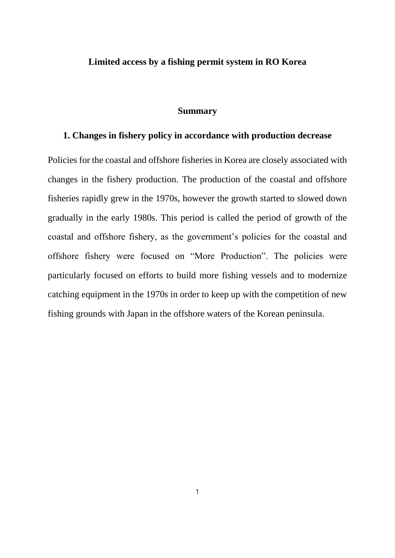#### **Limited access by a fishing permit system in RO Korea**

#### **Summary**

#### **1. Changes in fishery policy in accordance with production decrease**

Policies for the coastal and offshore fisheries in Korea are closely associated with changes in the fishery production. The production of the coastal and offshore fisheries rapidly grew in the 1970s, however the growth started to slowed down gradually in the early 1980s. This period is called the period of growth of the coastal and offshore fishery, as the government's policies for the coastal and offshore fishery were focused on "More Production". The policies were particularly focused on efforts to build more fishing vessels and to modernize catching equipment in the 1970s in order to keep up with the competition of new fishing grounds with Japan in the offshore waters of the Korean peninsula.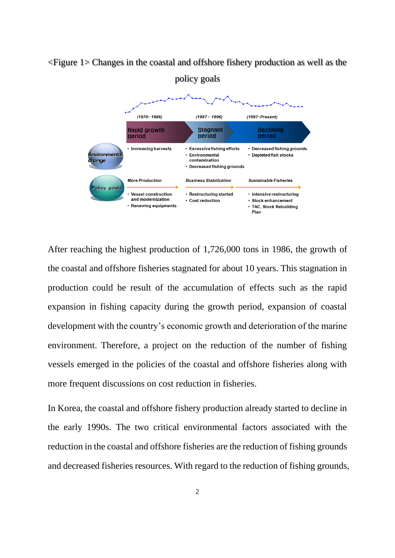# <Figure 1> Changes in the coastal and offshore fishery production as well as the policy goals



After reaching the highest production of 1,726,000 tons in 1986, the growth of the coastal and offshore fisheries stagnated for about 10 years. This stagnation in production could be result of the accumulation of effects such as the rapid expansion in fishing capacity during the growth period, expansion of coastal development with the country's economic growth and deterioration of the marine environment. Therefore, a project on the reduction of the number of fishing vessels emerged in the policies of the coastal and offshore fisheries along with more frequent discussions on cost reduction in fisheries.

In Korea, the coastal and offshore fishery production already started to decline in the early 1990s. The two critical environmental factors associated with the reduction in the coastal and offshore fisheries are the reduction of fishing grounds and decreased fisheries resources. With regard to the reduction of fishing grounds,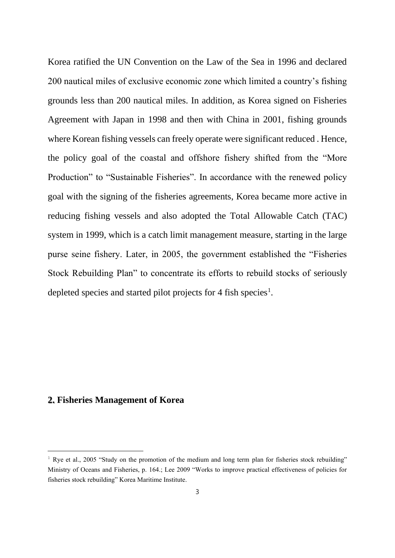Korea ratified the UN Convention on the Law of the Sea in 1996 and declared 200 nautical miles of exclusive economic zone which limited a country's fishing grounds less than 200 nautical miles. In addition, as Korea signed on Fisheries Agreement with Japan in 1998 and then with China in 2001, fishing grounds where Korean fishing vessels can freely operate were significant reduced . Hence, the policy goal of the coastal and offshore fishery shifted from the "More Production" to "Sustainable Fisheries". In accordance with the renewed policy goal with the signing of the fisheries agreements, Korea became more active in reducing fishing vessels and also adopted the Total Allowable Catch (TAC) system in 1999, which is a catch limit management measure, starting in the large purse seine fishery. Later, in 2005, the government established the "Fisheries Stock Rebuilding Plan" to concentrate its efforts to rebuild stocks of seriously depleted species and started pilot projects for 4 fish species<sup>1</sup>.

#### **2. Fisheries Management of Korea**

<sup>&</sup>lt;sup>1</sup> Rye et al., 2005 "Study on the promotion of the medium and long term plan for fisheries stock rebuilding" Ministry of Oceans and Fisheries, p. 164.; Lee 2009 "Works to improve practical effectiveness of policies for fisheries stock rebuilding" Korea Maritime Institute.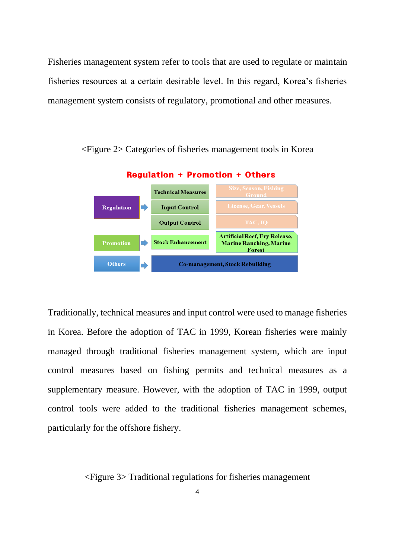Fisheries management system refer to tools that are used to regulate or maintain fisheries resources at a certain desirable level. In this regard, Korea's fisheries management system consists of regulatory, promotional and other measures.



<Figure 2> Categories of fisheries management tools in Korea

Traditionally, technical measures and input control were used to manage fisheries in Korea. Before the adoption of TAC in 1999, Korean fisheries were mainly managed through traditional fisheries management system, which are input control measures based on fishing permits and technical measures as a supplementary measure. However, with the adoption of TAC in 1999, output control tools were added to the traditional fisheries management schemes, particularly for the offshore fishery.

<Figure 3> Traditional regulations for fisheries management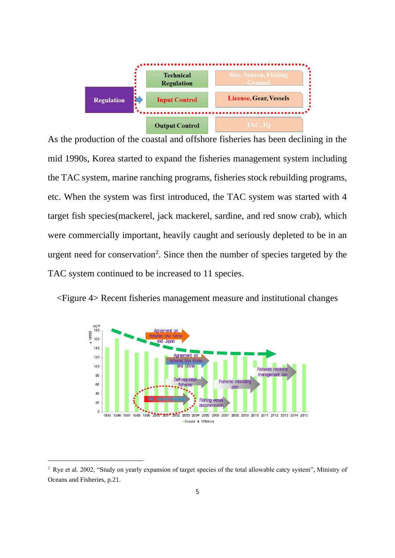

As the production of the coastal and offshore fisheries has been declining in the mid 1990s, Korea started to expand the fisheries management system including the TAC system, marine ranching programs, fisheries stock rebuilding programs, etc. When the system was first introduced, the TAC system was started with 4 target fish species(mackerel, jack mackerel, sardine, and red snow crab), which were commercially important, heavily caught and seriously depleted to be in an urgent need for conservation<sup>2</sup>. Since then the number of species targeted by the TAC system continued to be increased to 11 species.





 $2$  Rye et al. 2002, "Study on yearly expansion of target species of the total allowable catcy system", Ministry of Oceans and Fisheries, p.21.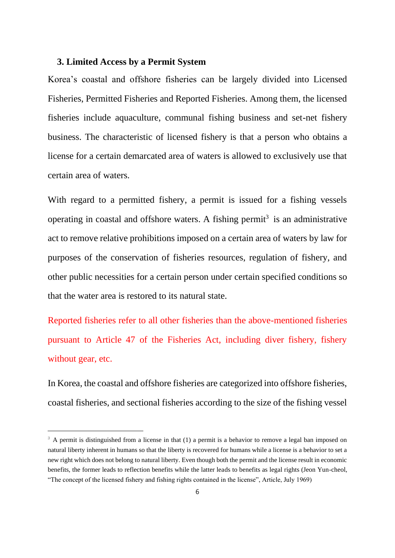#### **3. Limited Access by a Permit System**

Korea's coastal and offshore fisheries can be largely divided into Licensed Fisheries, Permitted Fisheries and Reported Fisheries. Among them, the licensed fisheries include aquaculture, communal fishing business and set-net fishery business. The characteristic of licensed fishery is that a person who obtains a license for a certain demarcated area of waters is allowed to exclusively use that certain area of waters.

With regard to a permitted fishery, a permit is issued for a fishing vessels operating in coastal and offshore waters. A fishing permit<sup>3</sup> is an administrative act to remove relative prohibitions imposed on a certain area of waters by law for purposes of the conservation of fisheries resources, regulation of fishery, and other public necessities for a certain person under certain specified conditions so that the water area is restored to its natural state.

Reported fisheries refer to all other fisheries than the above-mentioned fisheries pursuant to Article 47 of the Fisheries Act, including diver fishery, fishery without gear, etc.

In Korea, the coastal and offshore fisheries are categorized into offshore fisheries, coastal fisheries, and sectional fisheries according to the size of the fishing vessel

<sup>&</sup>lt;sup>3</sup> A permit is distinguished from a license in that (1) a permit is a behavior to remove a legal ban imposed on natural liberty inherent in humans so that the liberty is recovered for humans while a license is a behavior to set a new right which does not belong to natural liberty. Even though both the permit and the license result in economic benefits, the former leads to reflection benefits while the latter leads to benefits as legal rights (Jeon Yun-cheol, "The concept of the licensed fishery and fishing rights contained in the license", Article, July 1969)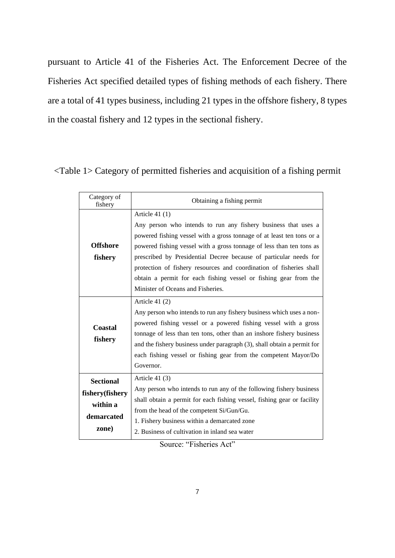pursuant to Article 41 of the Fisheries Act. The Enforcement Decree of the Fisheries Act specified detailed types of fishing methods of each fishery. There are a total of 41 types business, including 21 types in the offshore fishery, 8 types in the coastal fishery and 12 types in the sectional fishery.

<Table 1> Category of permitted fisheries and acquisition of a fishing permit

| Category of<br>fishery                                                 | Obtaining a fishing permit                                                                                                                                                                                                                                                                                                                                                                                                                                                              |
|------------------------------------------------------------------------|-----------------------------------------------------------------------------------------------------------------------------------------------------------------------------------------------------------------------------------------------------------------------------------------------------------------------------------------------------------------------------------------------------------------------------------------------------------------------------------------|
| <b>Offshore</b><br>fishery                                             | Article $41(1)$<br>Any person who intends to run any fishery business that uses a<br>powered fishing vessel with a gross tonnage of at least ten tons or a<br>powered fishing vessel with a gross tonnage of less than ten tons as<br>prescribed by Presidential Decree because of particular needs for<br>protection of fishery resources and coordination of fisheries shall<br>obtain a permit for each fishing vessel or fishing gear from the<br>Minister of Oceans and Fisheries. |
| <b>Coastal</b><br>fishery                                              | Article $41(2)$<br>Any person who intends to run any fishery business which uses a non-<br>powered fishing vessel or a powered fishing vessel with a gross<br>tonnage of less than ten tons, other than an inshore fishery business<br>and the fishery business under paragraph (3), shall obtain a permit for<br>each fishing vessel or fishing gear from the competent Mayor/Do<br>Governor.                                                                                          |
| <b>Sectional</b><br>fishery(fishery<br>within a<br>demarcated<br>zone) | Article $41(3)$<br>Any person who intends to run any of the following fishery business<br>shall obtain a permit for each fishing vessel, fishing gear or facility<br>from the head of the competent Si/Gun/Gu.<br>1. Fishery business within a demarcated zone<br>2. Business of cultivation in inland sea water                                                                                                                                                                        |

Source: "Fisheries Act"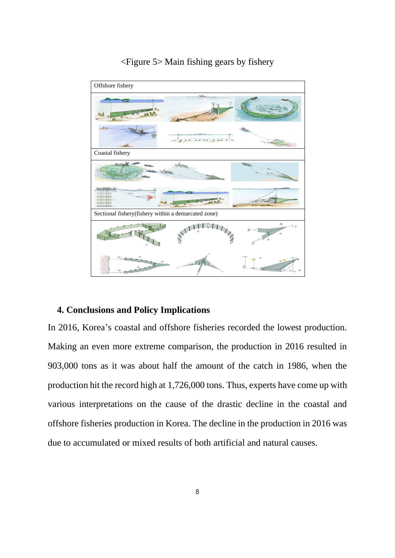

## <Figure 5> Main fishing gears by fishery

### **4. Conclusions and Policy Implications**

In 2016, Korea's coastal and offshore fisheries recorded the lowest production. Making an even more extreme comparison, the production in 2016 resulted in 903,000 tons as it was about half the amount of the catch in 1986, when the production hit the record high at 1,726,000 tons. Thus, experts have come up with various interpretations on the cause of the drastic decline in the coastal and offshore fisheries production in Korea. The decline in the production in 2016 was due to accumulated or mixed results of both artificial and natural causes.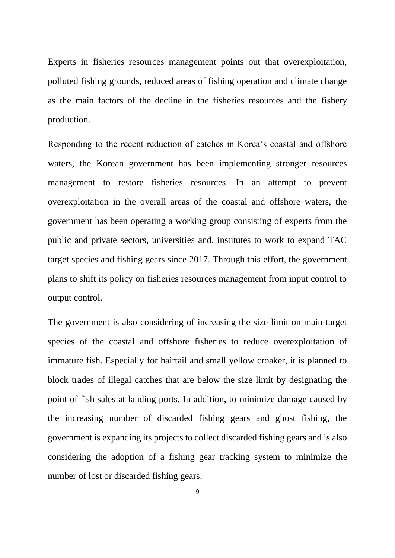Experts in fisheries resources management points out that overexploitation, polluted fishing grounds, reduced areas of fishing operation and climate change as the main factors of the decline in the fisheries resources and the fishery production.

Responding to the recent reduction of catches in Korea's coastal and offshore waters, the Korean government has been implementing stronger resources management to restore fisheries resources. In an attempt to prevent overexploitation in the overall areas of the coastal and offshore waters, the government has been operating a working group consisting of experts from the public and private sectors, universities and, institutes to work to expand TAC target species and fishing gears since 2017. Through this effort, the government plans to shift its policy on fisheries resources management from input control to output control.

The government is also considering of increasing the size limit on main target species of the coastal and offshore fisheries to reduce overexploitation of immature fish. Especially for hairtail and small yellow croaker, it is planned to block trades of illegal catches that are below the size limit by designating the point of fish sales at landing ports. In addition, to minimize damage caused by the increasing number of discarded fishing gears and ghost fishing, the government is expanding its projects to collect discarded fishing gears and is also considering the adoption of a fishing gear tracking system to minimize the number of lost or discarded fishing gears.

 $\overline{q}$